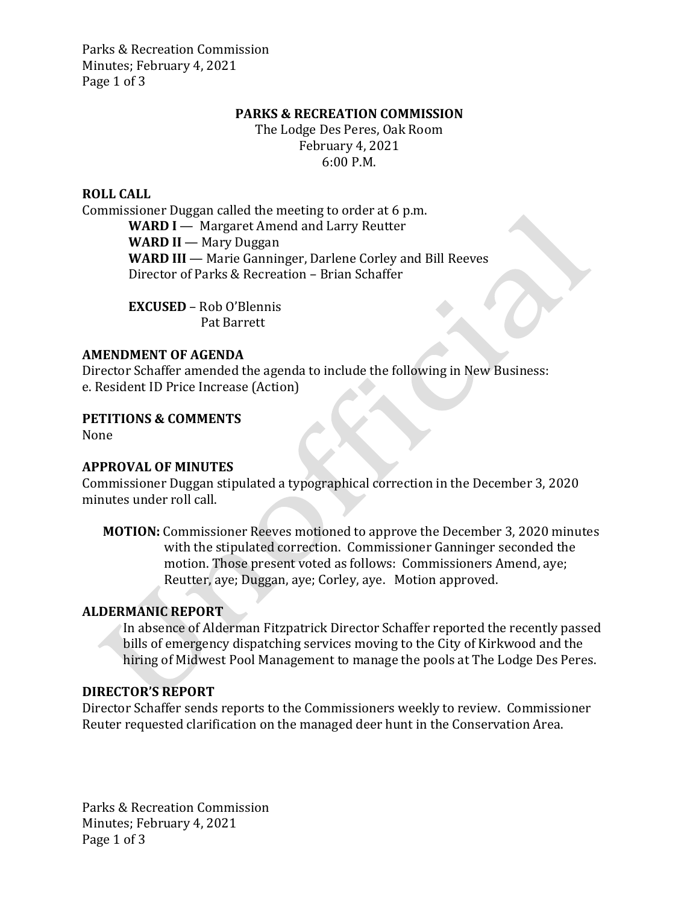Parks & Recreation Commission Minutes; February 4, 2021 Page 1 of 3

### **PARKS & RECREATION COMMISSION**

The Lodge Des Peres, Oak Room February 4, 2021 6:00 P.M.

### **ROLL CALL**

Commissioner Duggan called the meeting to order at 6 p.m. **WARD I** — Margaret Amend and Larry Reutter **WARD II** — Mary Duggan WARD III — Marie Ganninger, Darlene Corley and Bill Reeves Director of Parks & Recreation – Brian Schaffer

> **EXCUSED** – Rob O'Blennis Pat Barrett

### **AMENDMENT OF AGENDA**

Director Schaffer amended the agenda to include the following in New Business: e. Resident ID Price Increase (Action)

**PETITIONS & COMMENTS**

None

## **APPROVAL OF MINUTES**

Commissioner Duggan stipulated a typographical correction in the December 3, 2020 minutes under roll call.

**MOTION:** Commissioner Reeves motioned to approve the December 3, 2020 minutes with the stipulated correction. Commissioner Ganninger seconded the motion. Those present voted as follows: Commissioners Amend, aye; Reutter, aye; Duggan, aye; Corley, aye. Motion approved.

# **ALDERMANIC REPORT**

In absence of Alderman Fitzpatrick Director Schaffer reported the recently passed bills of emergency dispatching services moving to the City of Kirkwood and the hiring of Midwest Pool Management to manage the pools at The Lodge Des Peres.

# **DIRECTOR'S REPORT**

Director Schaffer sends reports to the Commissioners weekly to review. Commissioner Reuter requested clarification on the managed deer hunt in the Conservation Area.

Parks & Recreation Commission Minutes; February 4, 2021 Page 1 of 3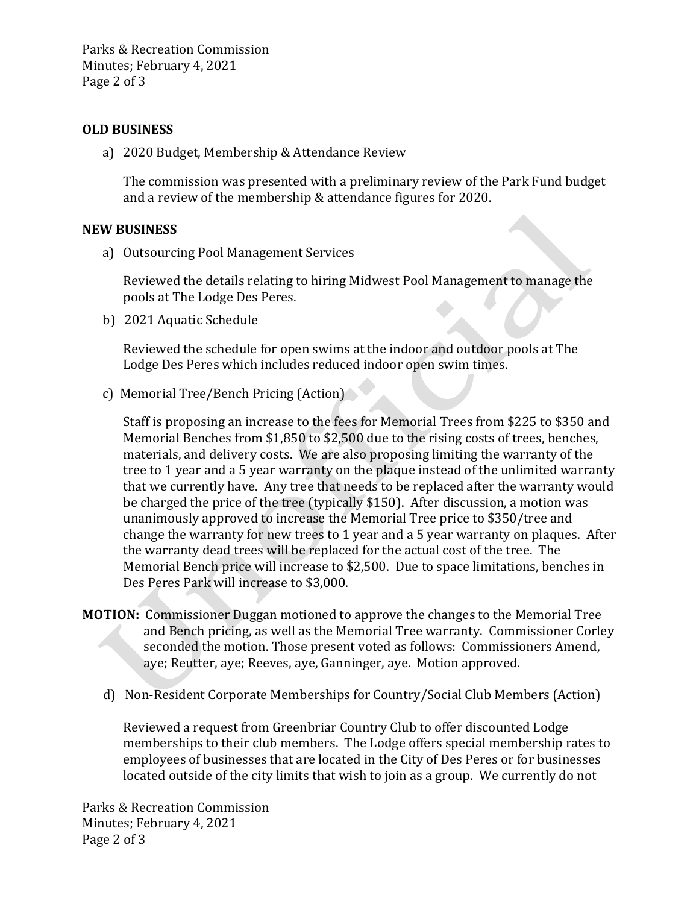Parks & Recreation Commission Minutes; February 4, 2021 Page 2 of 3

## **OLD BUSINESS**

a) 2020 Budget, Membership & Attendance Review

The commission was presented with a preliminary review of the Park Fund budget and a review of the membership & attendance figures for 2020.

#### **NEW BUSINESS**

a) Outsourcing Pool Management Services

Reviewed the details relating to hiring Midwest Pool Management to manage the pools at The Lodge Des Peres.

b) 2021 Aquatic Schedule

Reviewed the schedule for open swims at the indoor and outdoor pools at The Lodge Des Peres which includes reduced indoor open swim times.

c) Memorial Tree/Bench Pricing (Action)

Staff is proposing an increase to the fees for Memorial Trees from \$225 to \$350 and Memorial Benches from \$1,850 to \$2,500 due to the rising costs of trees, benches, materials, and delivery costs. We are also proposing limiting the warranty of the tree to 1 year and a 5 year warranty on the plaque instead of the unlimited warranty that we currently have. Any tree that needs to be replaced after the warranty would be charged the price of the tree (typically \$150). After discussion, a motion was unanimously approved to increase the Memorial Tree price to \$350/tree and change the warranty for new trees to 1 year and a 5 year warranty on plaques. After the warranty dead trees will be replaced for the actual cost of the tree. The Memorial Bench price will increase to \$2,500. Due to space limitations, benches in Des Peres Park will increase to \$3,000.

- **MOTION:** Commissioner Duggan motioned to approve the changes to the Memorial Tree and Bench pricing, as well as the Memorial Tree warranty.Commissioner Corley seconded the motion. Those present voted as follows: Commissioners Amend, aye; Reutter, aye; Reeves, aye, Ganninger, aye. Motion approved.
	- d) Non-Resident Corporate Memberships for Country/Social Club Members (Action)

Reviewed a request from Greenbriar Country Club to offer discounted Lodge memberships to their club members. The Lodge offers special membership rates to employees of businesses that are located in the City of Des Peres or for businesses located outside of the city limits that wish to join as a group. We currently do not

Parks & Recreation Commission Minutes; February 4, 2021 Page 2 of 3